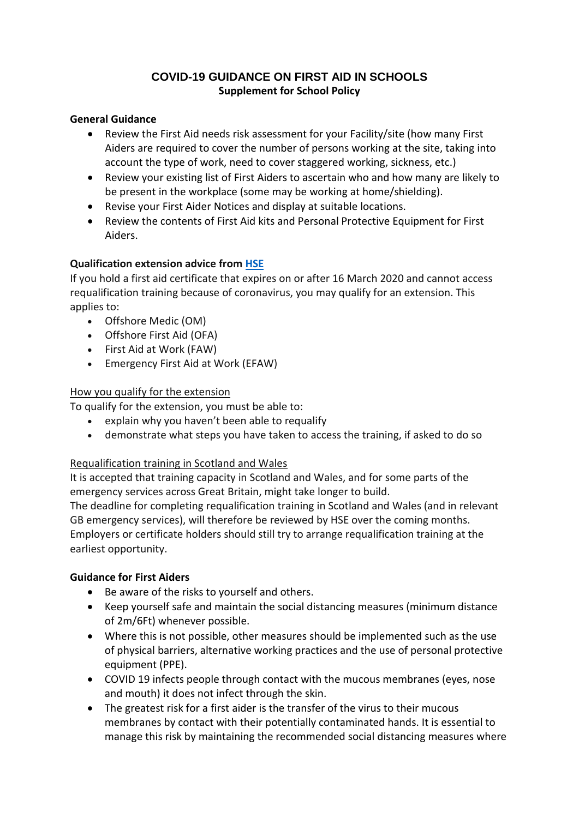# **COVID-19 GUIDANCE ON FIRST AID IN SCHOOLS Supplement for School Policy**

#### **General Guidance**

- Review the First Aid needs risk assessment for your Facility/site (how many First Aiders are required to cover the number of persons working at the site, taking into account the type of work, need to cover staggered working, sickness, etc.)
- Review your existing list of First Aiders to ascertain who and how many are likely to be present in the workplace (some may be working at home/shielding).
- Revise your First Aider Notices and display at suitable locations.
- Review the contents of First Aid kits and Personal Protective Equipment for First Aiders.

### **Qualification extension advice from HSE**

If you hold a first aid certificate that expires on or after 16 March 2020 and cannot access requalification training because of coronavirus, you may qualify for an extension. This applies to:

- Offshore Medic (OM)
- Offshore First Aid (OFA)
- First Aid at Work (FAW)
- Emergency First Aid at Work (EFAW)

### How you qualify for the extension

To qualify for the extension, you must be able to:

- explain why you haven't been able to requalify
- demonstrate what steps you have taken to access the training, if asked to do so

### Requalification training in Scotland and Wales

It is accepted that training capacity in Scotland and Wales, and for some parts of the emergency services across Great Britain, might take longer to build.

The deadline for completing requalification training in Scotland and Wales (and in relevant GB emergency services), will therefore be reviewed by HSE over the coming months. Employers or certificate holders should still try to arrange requalification training at the earliest opportunity.

### **Guidance for First Aiders**

- Be aware of the risks to yourself and others.
- Keep yourself safe and maintain the social distancing measures (minimum distance of 2m/6Ft) whenever possible.
- Where this is not possible, other measures should be implemented such as the use of physical barriers, alternative working practices and the use of personal protective equipment (PPE).
- COVID 19 infects people through contact with the mucous membranes (eyes, nose and mouth) it does not infect through the skin.
- The greatest risk for a first aider is the transfer of the virus to their mucous membranes by contact with their potentially contaminated hands. It is essential to manage this risk by maintaining the recommended social distancing measures where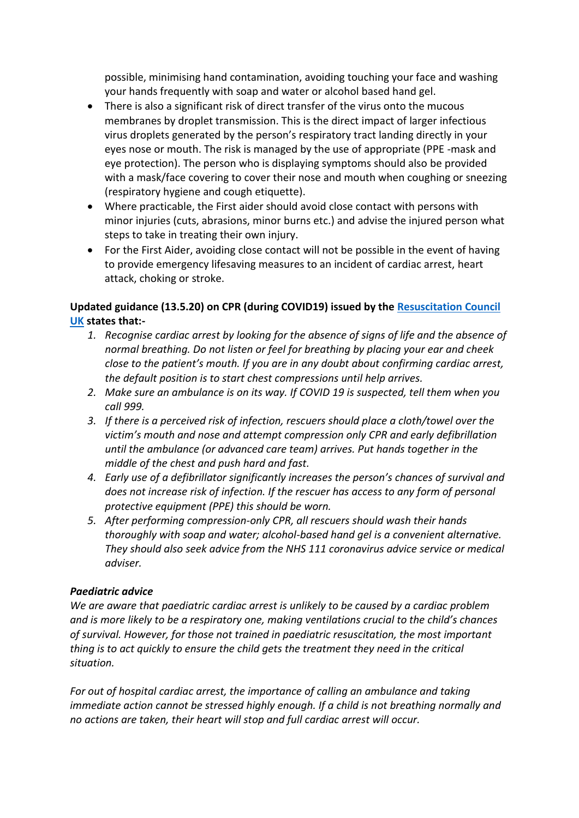possible, minimising hand contamination, avoiding touching your face and washing your hands frequently with soap and water or alcohol based hand gel.

- There is also a significant risk of direct transfer of the virus onto the mucous membranes by droplet transmission. This is the direct impact of larger infectious virus droplets generated by the person's respiratory tract landing directly in your eyes nose or mouth. The risk is managed by the use of appropriate (PPE -mask and eye protection). The person who is displaying symptoms should also be provided with a mask/face covering to cover their nose and mouth when coughing or sneezing (respiratory hygiene and cough etiquette).
- Where practicable, the First aider should avoid close contact with persons with minor injuries (cuts, abrasions, minor burns etc.) and advise the injured person what steps to take in treating their own injury.
- For the First Aider, avoiding close contact will not be possible in the event of having to provide emergency lifesaving measures to an incident of cardiac arrest, heart attack, choking or stroke.

# **Updated guidance (13.5.20) on CPR (during COVID19) issued by the Resuscitation Council UK states that:-**

- *1. Recognise cardiac arrest by looking for the absence of signs of life and the absence of normal breathing. Do not listen or feel for breathing by placing your ear and cheek close to the patient's mouth. If you are in any doubt about confirming cardiac arrest, the default position is to start chest compressions until help arrives.*
- *2. Make sure an ambulance is on its way. If COVID 19 is suspected, tell them when you call 999.*
- *3. If there is a perceived risk of infection, rescuers should place a cloth/towel over the victim's mouth and nose and attempt compression only CPR and early defibrillation until the ambulance (or advanced care team) arrives. Put hands together in the middle of the chest and push hard and fast.*
- *4. Early use of a defibrillator significantly increases the person's chances of survival and does not increase risk of infection. If the rescuer has access to any form of personal protective equipment (PPE) this should be worn.*
- *5. After performing compression-only CPR, all rescuers should wash their hands thoroughly with soap and water; alcohol-based hand gel is a convenient alternative. They should also seek advice from the NHS 111 coronavirus advice service or medical adviser.*

# *Paediatric advice*

*We are aware that paediatric cardiac arrest is unlikely to be caused by a cardiac problem and is more likely to be a respiratory one, making ventilations crucial to the child's chances of survival. However, for those not trained in paediatric resuscitation, the most important thing is to act quickly to ensure the child gets the treatment they need in the critical situation.*

*For out of hospital cardiac arrest, the importance of calling an ambulance and taking immediate action cannot be stressed highly enough. If a child is not breathing normally and no actions are taken, their heart will stop and full cardiac arrest will occur.*